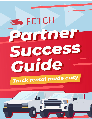# 3 DA FETCH Pertiner Success Guide Truck rental made easy

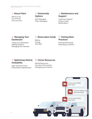### **1. About Fetch**

What we do Our process How you earn

### **2. Partnership Options**

Self-Managed Fetch-Managed

### **3. Maintenance and Support**

Customer Support Filing a Claim **Reservations** 

### **4. Managing Your Dashboard**

Using your Dashboard Adding Vehicles Managing the Calendar

### **5. Reservation Guide**

Before, During, and After

### **6. Parking Best Practices**

Parking Partnership Relocating a Vehicle

### **7. Optimizing Vehicle Availability**

High-Demand Times Preventative Maintenance

### **8. Owner Resources**

Rental Resources Insurance Documents Managing your Vehicle

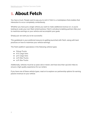# **1. About Fetch**

You have a truck. People want to pay you to rent it. Fetch is a marketplace that enables that interaction to occur completely contactlessly.

Whether you have just a single vehicle you want to make additional revenue on, or you're looking to scale your own fleet rental business, Fetch is all about enabling partners (like you) to maximize earnings on your vehicle and accomplish your goals.

Simply put: we want you to be successful.

This guidebook is your preferred resource to getting launched with Fetch, along with best practices on how to maximize your vehicle earnings.

The Fetch platform specializes in the following vehicle types:

- Pickup Trucks
- 6 ft. Cargo Vans
- 9 ft. Cargo Vans
- 10 ft. Box Trucks
- 12 ft. Box Trucks

Additionally, vehicles must be 12 years old or newer, and have less than 130,000 miles to ensure a high quality experience for our renters.

If you have one of these vehicle types, read on to explore our partnership options for earning passive revenue on your vehicle.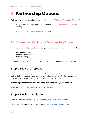# **2. Partnership Options**

Partners have two options when partnering with Fetch: *Self-Managed* and *Fetch-Managed.*

- 1. For guidance on completing your onboarding for the *Self-Managed* option, **keep reading.**
- 2. For information on *Fetch-Managed* scroll down**.**

### **Self-Managed Vehicles - Onboarding Guide**

There are *three* essential steps to complete your onboarding, and start earning with Fetch:

- **1. DigiSure Approval**
- **2. Device Installation**
- **3. Vehicle Listing**

This guide should be your go-to resource for navigating the onboarding process quickly.

### **Step 1: DigiSure Approval**

Vehicles are insured through the DigiSure Protection Package. The first step is for our partner Digisure to approve your owner and vehicle profiles. Once DigiSure approves your information, we'll send you an email notification and ship your device.

#### **You can expect to receive your device 2 to 3 days after your DigiSure approval.**

Read more about the protection plans and DigiSure [here](https://fetchtruck.zendesk.com/hc/en-us/articles/360057690212-Summary-of-owner-protections-plans-and-fees-).

### **Step 2: Device Installation**

Once you receive your Fetch Device, you can begin the installation process.

For the Quick Start device, watch the 5-minute Quick Start [Installation](https://www.youtube.com/watch?v=B_U9kn8JaSk) Demo.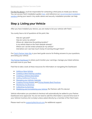For the Pro device, you'll be responsible for contacting a third party to install your device. You can access Fetch installation guides [here](https://fetchtruck.zendesk.com/hc/en-us/articles/360061116651-Fetch-Device-Installation-Guides), and reference our [recommended](https://fetchtruck.zendesk.com/hc/en-us/articles/360060177312-Experienced-Installation-Vendors) installation [vendors](https://fetchtruck.zendesk.com/hc/en-us/articles/360060177312-Experienced-Installation-Vendors) during your search. Any audio stereo and security installation provider can help.

### **Step 3: Listing your Vehicle**

After you have installed your device, you are ready to list your vehicle with Fetch.

You surely have a lot of questions at this point, like:

*How do I get paid? How do I price my vehicle? Where do I determine the parking location? Is my vehicle listed on the Fetch website already? Where can I set the rental schedule for my vehicle? And where can I see how much money I'm earning through Fetch?*

Our **Fetch [Partner](https://fetchtruck.zendesk.com/hc/en-us) Help Site** is your best guide source for finding answers to your questions, and listing your vehicle.

The Partner [Dashboard](https://dashboard.fetchtruck.com/inventory/list) is where you'll monitor your earnings, manage your listed vehicles, and add more to your fleet.

Feel free to take a look at these resources for information on navigating the Dashboard:

- Adding a New [Vehicle](https://fetchtruck.zendesk.com/hc/en-us/articles/360015921031-Adding-a-New-Vehicle)
- **•** Creating a New Parking [Location](https://fetchtruck.zendesk.com/hc/en-us/articles/360015880351-Creating-a-New-Location)
- Creating a Vehicle [Description](https://fetchtruck.zendesk.com/hc/en-us/articles/4419258680333-What-makes-a-good-vehicle-description-)
- **Adding [Additional](https://fetchtruck.zendesk.com/hc/en-us/articles/360015684012-Additional-Products) Products**
- **[Managing](https://fetchtruck.zendesk.com/hc/en-us/articles/360022647092-Vehicle-Calendar) your Vehicle Calendar**
- [Creating](https://fetchtruck.zendesk.com/hc/en-us/articles/360015880371-Creating-Pricing-Models) Pricing Models and Pricing Models Best [Practices](https://fetchtruck.zendesk.com/hc/en-us/articles/360015683952-Pricing-Best-Practices)
- [Monitoring](https://fetchtruck.zendesk.com/hc/en-us/articles/4418682649613-Partner-Dashboard-Analytics) my Revenue
- [Collecting](https://fetchtruck.zendesk.com/hc/en-us/articles/360015683712-Creating-Your-Fetch-Account) my Earnings
- Mobilizing and [Immobilizing](https://fetchtruck.zendesk.com/hc/en-us/articles/360027863751-Mobilizing-Immobilizing-Vehicle) your Vehicle (for Partners with Pro device)

Vehicle information you provided at checkout will automatically be added to your Partner Dashboard once approved. You do not need to add this information a second time (even if your Vehicle Inventory list is empty) unless asked directly by a member of the Fetch team.

Please reach out to [support@fetchtruck.com](mailto:support@fetchtruck.com) for additional support.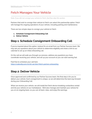### **Fetch Manages Your Vehicle**

*Note: If you did not consign your vehicle to Fetch, feel free skip this section.*

Partners that wish to consign their vehicle to Fetch can select this partnership option. Fetch will manage the ongoing operations of your vehicle, including parking and maintenance.

There are two simple steps to consign your vehicle to Fetch:

- **1. Schedule Consignment Onboarding Call**
- **2. Deliver Vehicle**

### **Step 1: Schedule Consignment Onboarding Call**

If you've inquired about this option, lookout for an email from our Partner Success team. We may ask you questions about your vehicle to determine eligibility and share a link to our calendar to set up an initial onboarding call.

On the call we will walk you through our process, address any questions you have, coordinate receiving your vehicle, and set up your account so you can start earning fast.

Feel free to schedule your call here: <https://calendly.com/d/drt-s4t-897/fetch-partner-onboarding>

### **Step 2: Deliver Vehicle**

Once approved and confirmed by our Partner Success team, the final step is for you to deliver your vehicle. Each consignment is unique, so we will determine the best way forward during your Onboarding Call.

When we receive your vehicle, we will install the Fetch device (enabling contactless rental) and list your vehicle on our marketplace. We'll also manage and maintain your vehicle for you on an ongoing basis, so you can sit back, relax, and enjoy the earnings.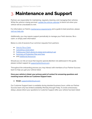# **3. Maintenance and Support**

Partners are responsible for maintaining, regularly cleaning, and managing their vehicles. While the vehicle is being serviced, update the vehicle [calendar](https://fetchtruck.zendesk.com/hc/en-us/articles/360022647092-Vehicle-Calendar) to block out when your vehicle will be unavailable to rent.

For information on Fetch's maintenance [requirements](https://fetchtruck.zendesk.com/hc/en-us/articles/360061547451-Maintenance-Requirements-) and a guide to best practices, please visit our [help](https://fetchtruck.zendesk.com/hc/en-us) site.

Additionally, you may require support periodically to manage your Fetch devices, file a claim, or simply seek information.

Below is a list of several of our common requests from partners:

- How to File a [Claim](https://fetchtruck.zendesk.com/hc/en-us/articles/360060740992-Filing-a-Claim-P2P-Partners)
- Canceling a [reservation](https://fetchtruck.zendesk.com/hc/en-us/articles/360015881071-Canceling-a-Reservation)
- [Putting](https://fetchtruck.zendesk.com/hc/en-us/articles/360014815351-Device-Sleep-and-Stay-Awake-Function) your Fetch device to sleep (and waking it up)
- Summary of [Protection](https://fetchtruck.zendesk.com/hc/en-us/articles/360057690212-Summary-of-owner-protections-plans-and-fees-) Plan and Fees
- and **Additional [Resources](https://fetchtruck.zendesk.com/hc/en-us)**

Should you run into an issue that requires special attention not addressed in this guide, please contact support at [support@fetchtruck.com](mailto:support@fetchtruck.com).

Throughout the onboarding process you may interact with members of our Partner Success team to help you get your vehicle listed.

#### **Once your vehicle is listed, your primary point of contact for answering questions and resolving issues will be our Customer Support team.**

● **Email:** [support@fetchtruck.com](mailto:support@fetchtruck.com)

Our Customer Support team is available during standard business hours, while our Partner Success team only has limited availability Monday through Friday. To avoid unnecessary delays, please direct your questions to Customer Support after your vehicle has been listed.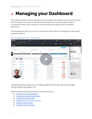# **4. Managing your Dashboard**

Fetch makes it easy for you to add vehicles to your fleet, and manage your current inventory. Any information you put in this dashboard will enable our customer support team to successfully interact with customers, and will ensure the customer has an excellent experience.

The Dashboard is easy to use, as you can reference this video on managing the information contained within it:



#### Partner [Dashboard](https://www.loom.com/share/3ae33774c6b44dd28c5129dcbac6b5f0) Demo - Watch Video

The Dashboard also allows you to manage additional information like pricing models, vehicle location descriptions, etc.

Please reference these documents for best practices on …

- How to Use your [Dashboard](https://fetchtruck.zendesk.com/hc/en-us/articles/4418682649613-Partner-Dashboard-Analytics)
- Creating a Location [Description](https://fetchtruck.zendesk.com/hc/en-us/articles/4422745898381-Creating-a-Location-Description)
- [Creating](https://fetchtruck.zendesk.com/hc/en-us/articles/360015880371-Creating-Pricing-Models) Pricing Models
- **[Managing](https://fetchtruck.zendesk.com/hc/en-us/articles/360022647092-Vehicle-Calendar) your Vehicle Calendar**
- Adding a New [Vehicle](https://fetchtruck.zendesk.com/hc/en-us/articles/360015921031-Adding-a-New-Vehicle)
- **Creating a New [Location](https://fetchtruck.zendesk.com/hc/en-us/articles/360015880351-Creating-a-New-Location)**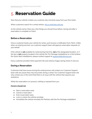# **5. Reservation Guide**

Now that your vehicle is listed, you could be only moments away from your first rental.

When customers search for a rental vehicle, this is [what](https://fetchtruck.zendesk.com/hc/en-us/articles/115004165867-How-Fetch-Works-2-minute-video-) they will see.

As the vehicle owner, there are a few things you should know before, during and after a reservation is complete on Fetch.

### **Before a Reservation**

Once a customer books your vehicle for rental, you'll receive a notification from Fetch. Unlike other car sharing services, our customer support team will approve reservation requests on your behalf.

If the vehicle is **not** available for rental during that time, **not** at the designated location, or if the key is **not** properly located in the vehicle (for Pro Package installations) or in the lockbox (for Quick Start installations), please contact support at [support@fetchtruck.com.](mailto:support@fetchtruck.com)

Every customer provides Fetch payment info and vehicle images during check-in and out.

### **During a Reservation**

Customers that have issues during the rental process will contact our Customer Support team with any issues they may encounter during a rental. Our Customer Support team will only contact you in the event that there is an issue with the vehicle that requires your assistance.

While the reservation is in process, nothing is required from you.

#### **Owners should not**:

- Start a reservation early
- Cancel a reservation
- End a reservation early
- Lock or unlock the vehicle remotely
- Immobilize the vehicle remotely (for Partners with the Pro Package installation)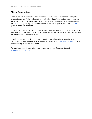### **After a Reservation**

Once your rental is complete, please inspect the vehicle for cleanliness and damage to prepare the vehicle for its next rental. Generally, disposing of leftover trash and vacuuming remaining dirt will suffice; however, if a vehicle is returned excessively dirty, please refer to this [cleanliness](https://fetchtruck.zendesk.com/hc/en-us/articles/360015881011-What-To-Do-If-A-Vehicle-Is-Returned-Dirty) guide. If you discover [damage](https://fetchtruck.zendesk.com/hc/en-us/articles/360015880931-What-To-Do-If-You-Discover-Vehicle-Damage) to the vehicle, please follow this damage guide to report the incidence.

Additionally, if you are using a Fetch Quick Start device package, you should reset the pin to your vehicle lockbox and update the pin code in the Partner Dashboard for the listed vehicle (*for partners with Quick Start Device*).

*How do you get paid?* You'll need to share your banking information in order for us to distribute your rental earnings. Please reference the article on [collecting](https://fetchtruck.zendesk.com/hc/en-us/articles/360015683712-Creating-Your-Fetch-Account) your earnings as a necessary step to receiving payment.

For questions regarding rental transactions, please contact Customer Support: [support@fetchtruck.com.](mailto:support@fetchtruck.com)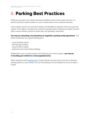# **6. Parking Best Practices**

While you can park your vehicle anywhere (whether at your house, place of work, or a friend's business) certain locations in your market attract more customer demand.

As the vehicle owner, you have the freedom and flexibility to optimize where you park the vehicle. This matters; consider that customers typically select vehicles by location and will often choose vehicles closest to where they will ultimately need them.

**You may try contacting a local business to negotiate a parking rental agreement.** The below businesses are a great starting point:

- Local hardware stores
- Self-Storage facilities
- Local furniture outlets
- Apartment and multi-family buildings

Additionally, if your current location isn't achieving your revenue goals, **you may try re-locating your vehicle to a more populated area.**

We've partnered with [Neighbor.com](https://www.neighbor.com/) to give partners access to low cost and in-demand parking options in your market. You can rent parking in local hotspots for as low as \$50 a month.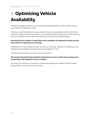# **7. Optimizing Vehicle Availability**

Perhaps the biggest impact to your earning potential with Fetch are the number of days your vehicle is available for rental.

While you have the ability to use your vehicle for your own personal use, this will limit the amount of rental revenue you're able to earn. Vehicles listed for nearly 100% of the time can earn up to \$1,800 a month (with some earning over \$2,100 at certain locations).

#### **Ensuring that your vehicle is listed often and is available on weekends will give you the best chance to maximize your earnings.**

Maintenance on your vehicle can also eat into your earnings. Vehicles in maintenance are unlisted from the platform temporarily and unavailable for rent.

The good news is that much of this can be prevented.

#### **We recommend performing standard maintenance on your vehicle every 90 days and conducting a full inspection every 12 months.**

Ensuring your vehicle is up to date on maintenance keeps your vehicle listed for longer, giving renters more access to your vehicle.